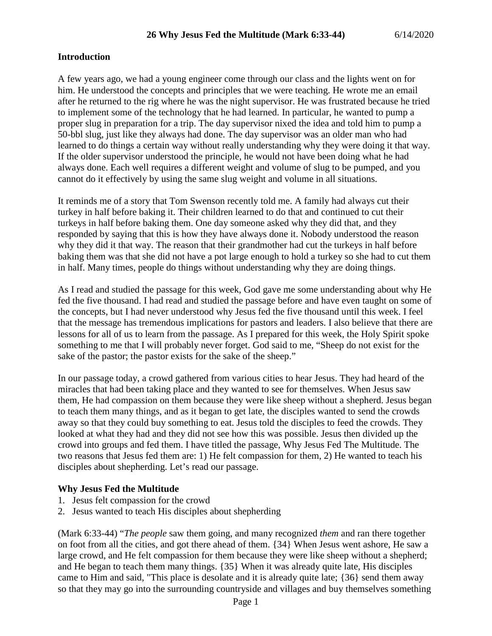### **Introduction**

A few years ago, we had a young engineer come through our class and the lights went on for him. He understood the concepts and principles that we were teaching. He wrote me an email after he returned to the rig where he was the night supervisor. He was frustrated because he tried to implement some of the technology that he had learned. In particular, he wanted to pump a proper slug in preparation for a trip. The day supervisor nixed the idea and told him to pump a 50-bbl slug, just like they always had done. The day supervisor was an older man who had learned to do things a certain way without really understanding why they were doing it that way. If the older supervisor understood the principle, he would not have been doing what he had always done. Each well requires a different weight and volume of slug to be pumped, and you cannot do it effectively by using the same slug weight and volume in all situations.

It reminds me of a story that Tom Swenson recently told me. A family had always cut their turkey in half before baking it. Their children learned to do that and continued to cut their turkeys in half before baking them. One day someone asked why they did that, and they responded by saying that this is how they have always done it. Nobody understood the reason why they did it that way. The reason that their grandmother had cut the turkeys in half before baking them was that she did not have a pot large enough to hold a turkey so she had to cut them in half. Many times, people do things without understanding why they are doing things.

As I read and studied the passage for this week, God gave me some understanding about why He fed the five thousand. I had read and studied the passage before and have even taught on some of the concepts, but I had never understood why Jesus fed the five thousand until this week. I feel that the message has tremendous implications for pastors and leaders. I also believe that there are lessons for all of us to learn from the passage. As I prepared for this week, the Holy Spirit spoke something to me that I will probably never forget. God said to me, "Sheep do not exist for the sake of the pastor; the pastor exists for the sake of the sheep."

In our passage today, a crowd gathered from various cities to hear Jesus. They had heard of the miracles that had been taking place and they wanted to see for themselves. When Jesus saw them, He had compassion on them because they were like sheep without a shepherd. Jesus began to teach them many things, and as it began to get late, the disciples wanted to send the crowds away so that they could buy something to eat. Jesus told the disciples to feed the crowds. They looked at what they had and they did not see how this was possible. Jesus then divided up the crowd into groups and fed them. I have titled the passage, Why Jesus Fed The Multitude. The two reasons that Jesus fed them are: 1) He felt compassion for them, 2) He wanted to teach his disciples about shepherding. Let's read our passage.

#### **Why Jesus Fed the Multitude**

- 1. Jesus felt compassion for the crowd
- 2. Jesus wanted to teach His disciples about shepherding

(Mark 6:33-44) "*The people* saw them going, and many recognized *them* and ran there together on foot from all the cities, and got there ahead of them. {34} When Jesus went ashore, He saw a large crowd, and He felt compassion for them because they were like sheep without a shepherd; and He began to teach them many things. {35} When it was already quite late, His disciples came to Him and said, "This place is desolate and it is already quite late; {36} send them away so that they may go into the surrounding countryside and villages and buy themselves something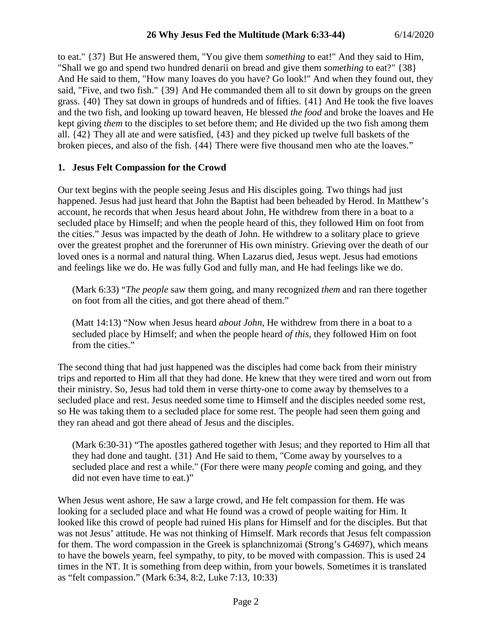to eat." {37} But He answered them, "You give them *something* to eat!" And they said to Him, "Shall we go and spend two hundred denarii on bread and give them *something* to eat?" {38} And He said to them, "How many loaves do you have? Go look!" And when they found out, they said, "Five, and two fish." {39} And He commanded them all to sit down by groups on the green grass. {40} They sat down in groups of hundreds and of fifties. {41} And He took the five loaves and the two fish, and looking up toward heaven, He blessed *the food* and broke the loaves and He kept giving *them* to the disciples to set before them; and He divided up the two fish among them all. {42} They all ate and were satisfied, {43} and they picked up twelve full baskets of the broken pieces, and also of the fish. {44} There were five thousand men who ate the loaves."

## **1. Jesus Felt Compassion for the Crowd**

Our text begins with the people seeing Jesus and His disciples going. Two things had just happened. Jesus had just heard that John the Baptist had been beheaded by Herod. In Matthew's account, he records that when Jesus heard about John, He withdrew from there in a boat to a secluded place by Himself; and when the people heard of this, they followed Him on foot from the cities." Jesus was impacted by the death of John. He withdrew to a solitary place to grieve over the greatest prophet and the forerunner of His own ministry. Grieving over the death of our loved ones is a normal and natural thing. When Lazarus died, Jesus wept. Jesus had emotions and feelings like we do. He was fully God and fully man, and He had feelings like we do.

(Mark 6:33) "*The people* saw them going, and many recognized *them* and ran there together on foot from all the cities, and got there ahead of them."

(Matt 14:13) "Now when Jesus heard *about John,* He withdrew from there in a boat to a secluded place by Himself; and when the people heard *of this,* they followed Him on foot from the cities."

The second thing that had just happened was the disciples had come back from their ministry trips and reported to Him all that they had done. He knew that they were tired and worn out from their ministry. So, Jesus had told them in verse thirty-one to come away by themselves to a secluded place and rest. Jesus needed some time to Himself and the disciples needed some rest, so He was taking them to a secluded place for some rest. The people had seen them going and they ran ahead and got there ahead of Jesus and the disciples.

(Mark 6:30-31) "The apostles gathered together with Jesus; and they reported to Him all that they had done and taught. {31} And He said to them, "Come away by yourselves to a secluded place and rest a while." (For there were many *people* coming and going, and they did not even have time to eat.)"

When Jesus went ashore, He saw a large crowd, and He felt compassion for them. He was looking for a secluded place and what He found was a crowd of people waiting for Him. It looked like this crowd of people had ruined His plans for Himself and for the disciples. But that was not Jesus' attitude. He was not thinking of Himself. Mark records that Jesus felt compassion for them. The word compassion in the Greek is splanchnizomai (Strong's G4697), which means to have the bowels yearn, feel sympathy, to pity, to be moved with compassion. This is used 24 times in the NT. It is something from deep within, from your bowels. Sometimes it is translated as "felt compassion." (Mark 6:34, 8:2, Luke 7:13, 10:33)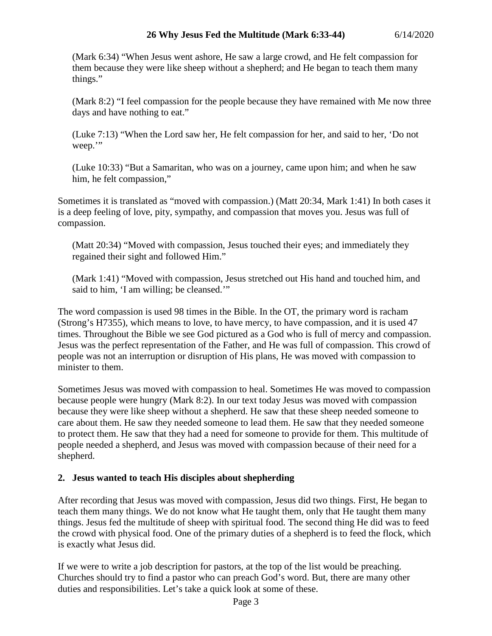(Mark 6:34) "When Jesus went ashore, He saw a large crowd, and He felt compassion for them because they were like sheep without a shepherd; and He began to teach them many things."

(Mark 8:2) "I feel compassion for the people because they have remained with Me now three days and have nothing to eat."

(Luke 7:13) "When the Lord saw her, He felt compassion for her, and said to her, 'Do not weep."

(Luke 10:33) "But a Samaritan, who was on a journey, came upon him; and when he saw him, he felt compassion,"

Sometimes it is translated as "moved with compassion.) (Matt 20:34, Mark 1:41) In both cases it is a deep feeling of love, pity, sympathy, and compassion that moves you. Jesus was full of compassion.

(Matt 20:34) "Moved with compassion, Jesus touched their eyes; and immediately they regained their sight and followed Him."

(Mark 1:41) "Moved with compassion, Jesus stretched out His hand and touched him, and said to him, 'I am willing; be cleansed.'"

The word compassion is used 98 times in the Bible. In the OT, the primary word is racham (Strong's H7355), which means to love, to have mercy, to have compassion, and it is used 47 times. Throughout the Bible we see God pictured as a God who is full of mercy and compassion. Jesus was the perfect representation of the Father, and He was full of compassion. This crowd of people was not an interruption or disruption of His plans, He was moved with compassion to minister to them.

Sometimes Jesus was moved with compassion to heal. Sometimes He was moved to compassion because people were hungry (Mark 8:2). In our text today Jesus was moved with compassion because they were like sheep without a shepherd. He saw that these sheep needed someone to care about them. He saw they needed someone to lead them. He saw that they needed someone to protect them. He saw that they had a need for someone to provide for them. This multitude of people needed a shepherd, and Jesus was moved with compassion because of their need for a shepherd.

# **2. Jesus wanted to teach His disciples about shepherding**

After recording that Jesus was moved with compassion, Jesus did two things. First, He began to teach them many things. We do not know what He taught them, only that He taught them many things. Jesus fed the multitude of sheep with spiritual food. The second thing He did was to feed the crowd with physical food. One of the primary duties of a shepherd is to feed the flock, which is exactly what Jesus did.

If we were to write a job description for pastors, at the top of the list would be preaching. Churches should try to find a pastor who can preach God's word. But, there are many other duties and responsibilities. Let's take a quick look at some of these.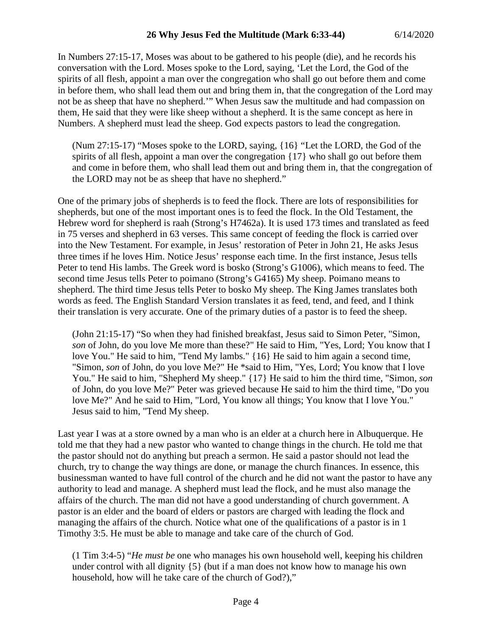In Numbers 27:15-17, Moses was about to be gathered to his people (die), and he records his conversation with the Lord. Moses spoke to the Lord, saying, 'Let the Lord, the God of the spirits of all flesh, appoint a man over the congregation who shall go out before them and come in before them, who shall lead them out and bring them in, that the congregation of the Lord may not be as sheep that have no shepherd.'" When Jesus saw the multitude and had compassion on them, He said that they were like sheep without a shepherd. It is the same concept as here in Numbers. A shepherd must lead the sheep. God expects pastors to lead the congregation.

(Num 27:15-17) "Moses spoke to the LORD, saying, {16} "Let the LORD, the God of the spirits of all flesh, appoint a man over the congregation {17} who shall go out before them and come in before them, who shall lead them out and bring them in, that the congregation of the LORD may not be as sheep that have no shepherd."

One of the primary jobs of shepherds is to feed the flock. There are lots of responsibilities for shepherds, but one of the most important ones is to feed the flock. In the Old Testament, the Hebrew word for shepherd is raah (Strong's H7462a). It is used 173 times and translated as feed in 75 verses and shepherd in 63 verses. This same concept of feeding the flock is carried over into the New Testament. For example, in Jesus' restoration of Peter in John 21, He asks Jesus three times if he loves Him. Notice Jesus' response each time. In the first instance, Jesus tells Peter to tend His lambs. The Greek word is bosko (Strong's G1006), which means to feed. The second time Jesus tells Peter to poimano (Strong's G4165) My sheep. Poimano means to shepherd. The third time Jesus tells Peter to bosko My sheep. The King James translates both words as feed. The English Standard Version translates it as feed, tend, and feed, and I think their translation is very accurate. One of the primary duties of a pastor is to feed the sheep.

(John 21:15-17) "So when they had finished breakfast, Jesus said to Simon Peter, "Simon, *son* of John, do you love Me more than these?" He said to Him, "Yes, Lord; You know that I love You." He said to him, "Tend My lambs." {16} He said to him again a second time, "Simon, *son* of John, do you love Me?" He \*said to Him, "Yes, Lord; You know that I love You." He said to him, "Shepherd My sheep." {17} He said to him the third time, "Simon, *son* of John, do you love Me?" Peter was grieved because He said to him the third time, "Do you love Me?" And he said to Him, "Lord, You know all things; You know that I love You." Jesus said to him, "Tend My sheep.

Last year I was at a store owned by a man who is an elder at a church here in Albuquerque. He told me that they had a new pastor who wanted to change things in the church. He told me that the pastor should not do anything but preach a sermon. He said a pastor should not lead the church, try to change the way things are done, or manage the church finances. In essence, this businessman wanted to have full control of the church and he did not want the pastor to have any authority to lead and manage. A shepherd must lead the flock, and he must also manage the affairs of the church. The man did not have a good understanding of church government. A pastor is an elder and the board of elders or pastors are charged with leading the flock and managing the affairs of the church. Notice what one of the qualifications of a pastor is in 1 Timothy 3:5. He must be able to manage and take care of the church of God.

(1 Tim 3:4-5) "*He must be* one who manages his own household well, keeping his children under control with all dignity {5} (but if a man does not know how to manage his own household, how will he take care of the church of God?),"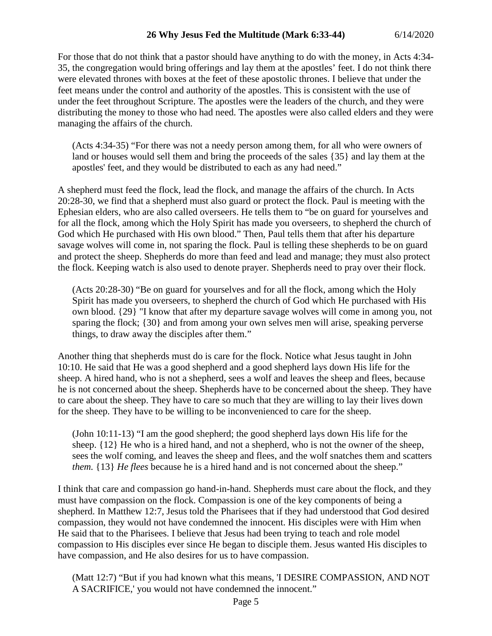## **26 Why Jesus Fed the Multitude (Mark 6:33-44)** 6/14/2020

For those that do not think that a pastor should have anything to do with the money, in Acts 4:34- 35, the congregation would bring offerings and lay them at the apostles' feet. I do not think there were elevated thrones with boxes at the feet of these apostolic thrones. I believe that under the feet means under the control and authority of the apostles. This is consistent with the use of under the feet throughout Scripture. The apostles were the leaders of the church, and they were distributing the money to those who had need. The apostles were also called elders and they were managing the affairs of the church.

(Acts 4:34-35) "For there was not a needy person among them, for all who were owners of land or houses would sell them and bring the proceeds of the sales {35} and lay them at the apostles' feet, and they would be distributed to each as any had need."

A shepherd must feed the flock, lead the flock, and manage the affairs of the church. In Acts 20:28-30, we find that a shepherd must also guard or protect the flock. Paul is meeting with the Ephesian elders, who are also called overseers. He tells them to "be on guard for yourselves and for all the flock, among which the Holy Spirit has made you overseers, to shepherd the church of God which He purchased with His own blood." Then, Paul tells them that after his departure savage wolves will come in, not sparing the flock. Paul is telling these shepherds to be on guard and protect the sheep. Shepherds do more than feed and lead and manage; they must also protect the flock. Keeping watch is also used to denote prayer. Shepherds need to pray over their flock.

(Acts 20:28-30) "Be on guard for yourselves and for all the flock, among which the Holy Spirit has made you overseers, to shepherd the church of God which He purchased with His own blood. {29} "I know that after my departure savage wolves will come in among you, not sparing the flock; {30} and from among your own selves men will arise, speaking perverse things, to draw away the disciples after them."

Another thing that shepherds must do is care for the flock. Notice what Jesus taught in John 10:10. He said that He was a good shepherd and a good shepherd lays down His life for the sheep. A hired hand, who is not a shepherd, sees a wolf and leaves the sheep and flees, because he is not concerned about the sheep. Shepherds have to be concerned about the sheep. They have to care about the sheep. They have to care so much that they are willing to lay their lives down for the sheep. They have to be willing to be inconvenienced to care for the sheep.

(John 10:11-13) "I am the good shepherd; the good shepherd lays down His life for the sheep. {12} He who is a hired hand, and not a shepherd, who is not the owner of the sheep, sees the wolf coming, and leaves the sheep and flees, and the wolf snatches them and scatters *them.* {13} *He flees* because he is a hired hand and is not concerned about the sheep."

I think that care and compassion go hand-in-hand. Shepherds must care about the flock, and they must have compassion on the flock. Compassion is one of the key components of being a shepherd. In Matthew 12:7, Jesus told the Pharisees that if they had understood that God desired compassion, they would not have condemned the innocent. His disciples were with Him when He said that to the Pharisees. I believe that Jesus had been trying to teach and role model compassion to His disciples ever since He began to disciple them. Jesus wanted His disciples to have compassion, and He also desires for us to have compassion.

(Matt 12:7) "But if you had known what this means, 'I DESIRE COMPASSION, AND NOT A SACRIFICE,' you would not have condemned the innocent."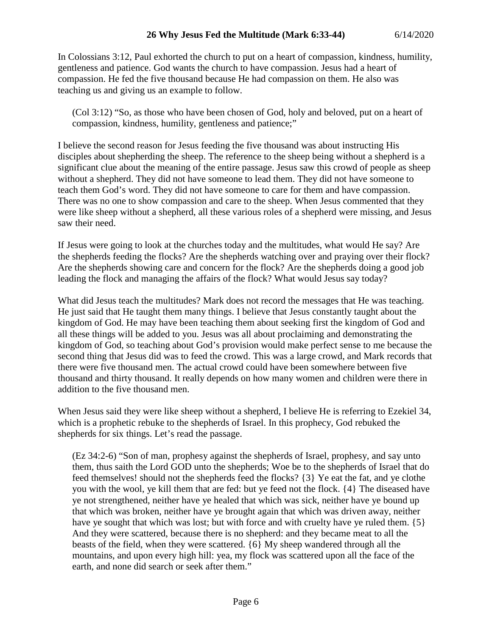In Colossians 3:12, Paul exhorted the church to put on a heart of compassion, kindness, humility, gentleness and patience. God wants the church to have compassion. Jesus had a heart of compassion. He fed the five thousand because He had compassion on them. He also was teaching us and giving us an example to follow.

(Col 3:12) "So, as those who have been chosen of God, holy and beloved, put on a heart of compassion, kindness, humility, gentleness and patience;"

I believe the second reason for Jesus feeding the five thousand was about instructing His disciples about shepherding the sheep. The reference to the sheep being without a shepherd is a significant clue about the meaning of the entire passage. Jesus saw this crowd of people as sheep without a shepherd. They did not have someone to lead them. They did not have someone to teach them God's word. They did not have someone to care for them and have compassion. There was no one to show compassion and care to the sheep. When Jesus commented that they were like sheep without a shepherd, all these various roles of a shepherd were missing, and Jesus saw their need.

If Jesus were going to look at the churches today and the multitudes, what would He say? Are the shepherds feeding the flocks? Are the shepherds watching over and praying over their flock? Are the shepherds showing care and concern for the flock? Are the shepherds doing a good job leading the flock and managing the affairs of the flock? What would Jesus say today?

What did Jesus teach the multitudes? Mark does not record the messages that He was teaching. He just said that He taught them many things. I believe that Jesus constantly taught about the kingdom of God. He may have been teaching them about seeking first the kingdom of God and all these things will be added to you. Jesus was all about proclaiming and demonstrating the kingdom of God, so teaching about God's provision would make perfect sense to me because the second thing that Jesus did was to feed the crowd. This was a large crowd, and Mark records that there were five thousand men. The actual crowd could have been somewhere between five thousand and thirty thousand. It really depends on how many women and children were there in addition to the five thousand men.

When Jesus said they were like sheep without a shepherd, I believe He is referring to Ezekiel 34, which is a prophetic rebuke to the shepherds of Israel. In this prophecy, God rebuked the shepherds for six things. Let's read the passage.

(Ez 34:2-6) "Son of man, prophesy against the shepherds of Israel, prophesy, and say unto them, thus saith the Lord GOD unto the shepherds; Woe be to the shepherds of Israel that do feed themselves! should not the shepherds feed the flocks? {3} Ye eat the fat, and ye clothe you with the wool, ye kill them that are fed: but ye feed not the flock. {4} The diseased have ye not strengthened, neither have ye healed that which was sick, neither have ye bound up that which was broken, neither have ye brought again that which was driven away, neither have ye sought that which was lost; but with force and with cruelty have ye ruled them.  $\{5\}$ And they were scattered, because there is no shepherd: and they became meat to all the beasts of the field, when they were scattered. {6} My sheep wandered through all the mountains, and upon every high hill: yea, my flock was scattered upon all the face of the earth, and none did search or seek after them."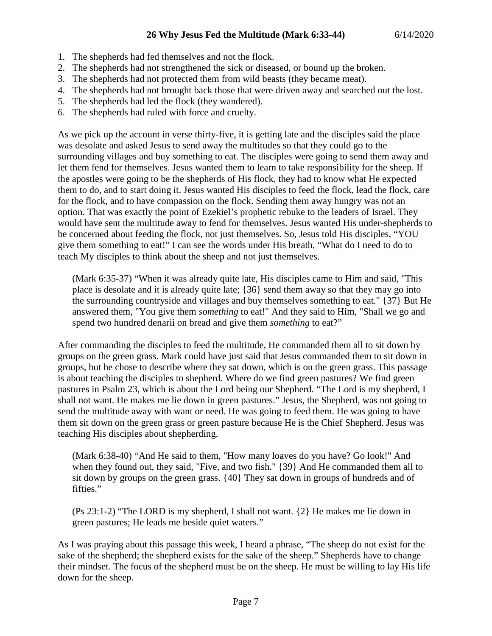- 1. The shepherds had fed themselves and not the flock.
- 2. The shepherds had not strengthened the sick or diseased, or bound up the broken.
- 3. The shepherds had not protected them from wild beasts (they became meat).
- 4. The shepherds had not brought back those that were driven away and searched out the lost.
- 5. The shepherds had led the flock (they wandered).
- 6. The shepherds had ruled with force and cruelty.

As we pick up the account in verse thirty-five, it is getting late and the disciples said the place was desolate and asked Jesus to send away the multitudes so that they could go to the surrounding villages and buy something to eat. The disciples were going to send them away and let them fend for themselves. Jesus wanted them to learn to take responsibility for the sheep. If the apostles were going to be the shepherds of His flock, they had to know what He expected them to do, and to start doing it. Jesus wanted His disciples to feed the flock, lead the flock, care for the flock, and to have compassion on the flock. Sending them away hungry was not an option. That was exactly the point of Ezekiel's prophetic rebuke to the leaders of Israel. They would have sent the multitude away to fend for themselves. Jesus wanted His under-shepherds to be concerned about feeding the flock, not just themselves. So, Jesus told His disciples, "YOU give them something to eat!" I can see the words under His breath, "What do I need to do to teach My disciples to think about the sheep and not just themselves.

(Mark 6:35-37) "When it was already quite late, His disciples came to Him and said, "This place is desolate and it is already quite late; {36} send them away so that they may go into the surrounding countryside and villages and buy themselves something to eat." {37} But He answered them, "You give them *something* to eat!" And they said to Him, "Shall we go and spend two hundred denarii on bread and give them *something* to eat?"

After commanding the disciples to feed the multitude, He commanded them all to sit down by groups on the green grass. Mark could have just said that Jesus commanded them to sit down in groups, but he chose to describe where they sat down, which is on the green grass. This passage is about teaching the disciples to shepherd. Where do we find green pastures? We find green pastures in Psalm 23, which is about the Lord being our Shepherd. "The Lord is my shepherd, I shall not want. He makes me lie down in green pastures." Jesus, the Shepherd, was not going to send the multitude away with want or need. He was going to feed them. He was going to have them sit down on the green grass or green pasture because He is the Chief Shepherd. Jesus was teaching His disciples about shepherding.

(Mark 6:38-40) "And He said to them, "How many loaves do you have? Go look!" And when they found out, they said, "Five, and two fish." {39} And He commanded them all to sit down by groups on the green grass. {40} They sat down in groups of hundreds and of fifties."

(Ps 23:1-2) "The LORD is my shepherd, I shall not want. {2} He makes me lie down in green pastures; He leads me beside quiet waters."

As I was praying about this passage this week, I heard a phrase, "The sheep do not exist for the sake of the shepherd; the shepherd exists for the sake of the sheep." Shepherds have to change their mindset. The focus of the shepherd must be on the sheep. He must be willing to lay His life down for the sheep.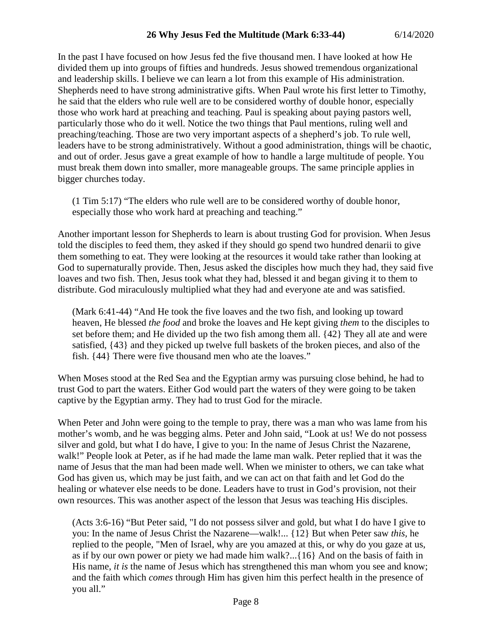In the past I have focused on how Jesus fed the five thousand men. I have looked at how He divided them up into groups of fifties and hundreds. Jesus showed tremendous organizational and leadership skills. I believe we can learn a lot from this example of His administration. Shepherds need to have strong administrative gifts. When Paul wrote his first letter to Timothy, he said that the elders who rule well are to be considered worthy of double honor, especially those who work hard at preaching and teaching. Paul is speaking about paying pastors well, particularly those who do it well. Notice the two things that Paul mentions, ruling well and preaching/teaching. Those are two very important aspects of a shepherd's job. To rule well, leaders have to be strong administratively. Without a good administration, things will be chaotic, and out of order. Jesus gave a great example of how to handle a large multitude of people. You must break them down into smaller, more manageable groups. The same principle applies in bigger churches today.

(1 Tim 5:17) "The elders who rule well are to be considered worthy of double honor, especially those who work hard at preaching and teaching."

Another important lesson for Shepherds to learn is about trusting God for provision. When Jesus told the disciples to feed them, they asked if they should go spend two hundred denarii to give them something to eat. They were looking at the resources it would take rather than looking at God to supernaturally provide. Then, Jesus asked the disciples how much they had, they said five loaves and two fish. Then, Jesus took what they had, blessed it and began giving it to them to distribute. God miraculously multiplied what they had and everyone ate and was satisfied.

(Mark 6:41-44) "And He took the five loaves and the two fish, and looking up toward heaven, He blessed *the food* and broke the loaves and He kept giving *them* to the disciples to set before them; and He divided up the two fish among them all. {42} They all ate and were satisfied, {43} and they picked up twelve full baskets of the broken pieces, and also of the fish. {44} There were five thousand men who ate the loaves."

When Moses stood at the Red Sea and the Egyptian army was pursuing close behind, he had to trust God to part the waters. Either God would part the waters of they were going to be taken captive by the Egyptian army. They had to trust God for the miracle.

When Peter and John were going to the temple to pray, there was a man who was lame from his mother's womb, and he was begging alms. Peter and John said, "Look at us! We do not possess silver and gold, but what I do have, I give to you: In the name of Jesus Christ the Nazarene, walk!" People look at Peter, as if he had made the lame man walk. Peter replied that it was the name of Jesus that the man had been made well. When we minister to others, we can take what God has given us, which may be just faith, and we can act on that faith and let God do the healing or whatever else needs to be done. Leaders have to trust in God's provision, not their own resources. This was another aspect of the lesson that Jesus was teaching His disciples.

(Acts 3:6-16) "But Peter said, "I do not possess silver and gold, but what I do have I give to you: In the name of Jesus Christ the Nazarene—walk!... {12} But when Peter saw *this,* he replied to the people, "Men of Israel, why are you amazed at this, or why do you gaze at us, as if by our own power or piety we had made him walk?...{16} And on the basis of faith in His name, *it is* the name of Jesus which has strengthened this man whom you see and know; and the faith which *comes* through Him has given him this perfect health in the presence of you all."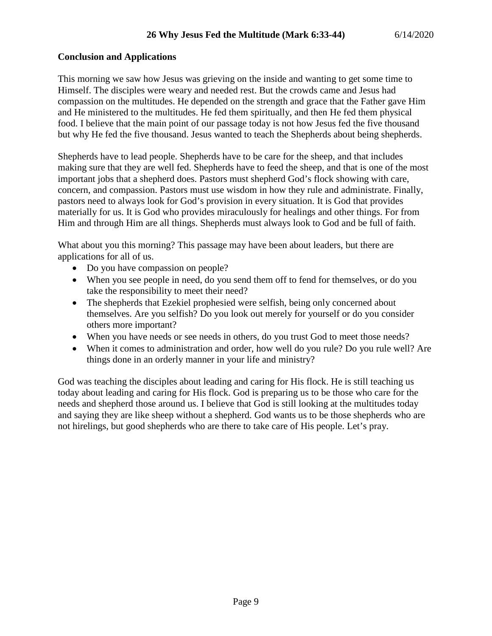## **Conclusion and Applications**

This morning we saw how Jesus was grieving on the inside and wanting to get some time to Himself. The disciples were weary and needed rest. But the crowds came and Jesus had compassion on the multitudes. He depended on the strength and grace that the Father gave Him and He ministered to the multitudes. He fed them spiritually, and then He fed them physical food. I believe that the main point of our passage today is not how Jesus fed the five thousand but why He fed the five thousand. Jesus wanted to teach the Shepherds about being shepherds.

Shepherds have to lead people. Shepherds have to be care for the sheep, and that includes making sure that they are well fed. Shepherds have to feed the sheep, and that is one of the most important jobs that a shepherd does. Pastors must shepherd God's flock showing with care, concern, and compassion. Pastors must use wisdom in how they rule and administrate. Finally, pastors need to always look for God's provision in every situation. It is God that provides materially for us. It is God who provides miraculously for healings and other things. For from Him and through Him are all things. Shepherds must always look to God and be full of faith.

What about you this morning? This passage may have been about leaders, but there are applications for all of us.

- Do you have compassion on people?
- When you see people in need, do you send them off to fend for themselves, or do you take the responsibility to meet their need?
- The shepherds that Ezekiel prophesied were selfish, being only concerned about themselves. Are you selfish? Do you look out merely for yourself or do you consider others more important?
- When you have needs or see needs in others, do you trust God to meet those needs?
- When it comes to administration and order, how well do you rule? Do you rule well? Are things done in an orderly manner in your life and ministry?

God was teaching the disciples about leading and caring for His flock. He is still teaching us today about leading and caring for His flock. God is preparing us to be those who care for the needs and shepherd those around us. I believe that God is still looking at the multitudes today and saying they are like sheep without a shepherd. God wants us to be those shepherds who are not hirelings, but good shepherds who are there to take care of His people. Let's pray.